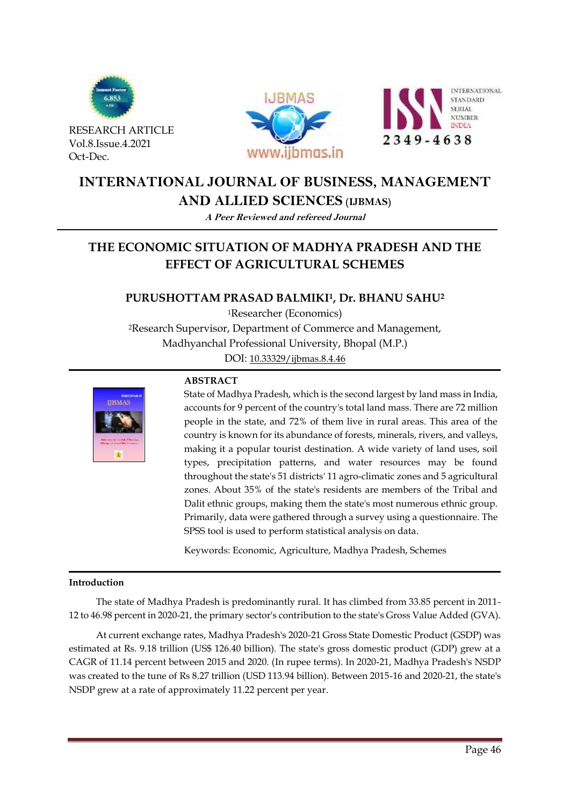

RESEARCH ARTICLE Vol.8.Issue.4.2021 Oct-Dec.





# **INTERNATIONAL JOURNAL OF BUSINESS, MANAGEMENT**

## **AND ALLIED SCIENCES (IJBMAS)**

**A Peer Reviewed and refereed Journal**

# **THE ECONOMIC SITUATION OF MADHYA PRADESH AND THE EFFECT OF AGRICULTURAL SCHEMES**

# **PURUSHOTTAM PRASAD BALMIKI1, Dr. BHANU SAHU<sup>2</sup>**

<sup>1</sup>Researcher (Economics) <sup>2</sup>Research Supervisor, Department of Commerce and Management, Madhyanchal Professional University, Bhopal (M.P.)

DOI: [10.33329/ijbmas.8.4.4](http://www.ijbmas.in/)6



### **ABSTRACT**

State of Madhya Pradesh, which is the second largest by land mass in India, accounts for 9 percent of the country's total land mass. There are 72 million people in the state, and 72% of them live in rural areas. This area of the country is known for its abundance of forests, minerals, rivers, and valleys, making it a popular tourist destination. A wide variety of land uses, soil types, precipitation patterns, and water resources may be found throughout the state's 51 districts' 11 agro-climatic zones and 5 agricultural zones. About 35% of the state's residents are members of the Tribal and Dalit ethnic groups, making them the state's most numerous ethnic group. Primarily, data were gathered through a survey using a questionnaire. The SPSS tool is used to perform statistical analysis on data.

Keywords: Economic, Agriculture, Madhya Pradesh, Schemes

#### **Introduction**

The state of Madhya Pradesh is predominantly rural. It has climbed from 33.85 percent in 2011- 12 to 46.98 percent in 2020-21, the primary sector's contribution to the state's Gross Value Added (GVA).

At current exchange rates, Madhya Pradesh's 2020-21 Gross State Domestic Product (GSDP) was estimated at Rs. 9.18 trillion (US\$ 126.40 billion). The state's gross domestic product (GDP) grew at a CAGR of 11.14 percent between 2015 and 2020. (In rupee terms). In 2020-21, Madhya Pradesh's NSDP was created to the tune of Rs 8.27 trillion (USD 113.94 billion). Between 2015-16 and 2020-21, the state's NSDP grew at a rate of approximately 11.22 percent per year.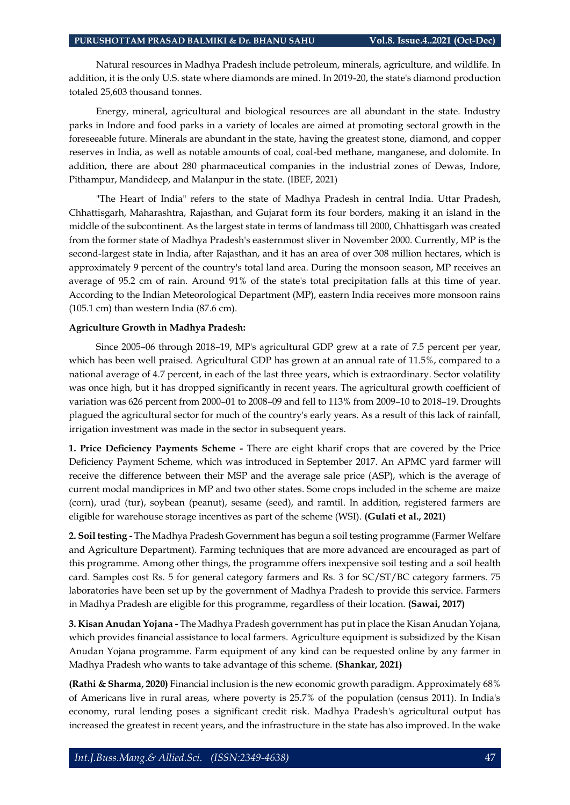Natural resources in Madhya Pradesh include petroleum, minerals, agriculture, and wildlife. In addition, it is the only U.S. state where diamonds are mined. In 2019-20, the state's diamond production totaled 25,603 thousand tonnes.

Energy, mineral, agricultural and biological resources are all abundant in the state. Industry parks in Indore and food parks in a variety of locales are aimed at promoting sectoral growth in the foreseeable future. Minerals are abundant in the state, having the greatest stone, diamond, and copper reserves in India, as well as notable amounts of coal, coal-bed methane, manganese, and dolomite. In addition, there are about 280 pharmaceutical companies in the industrial zones of Dewas, Indore, Pithampur, Mandideep, and Malanpur in the state. (IBEF, 2021)

"The Heart of India" refers to the state of Madhya Pradesh in central India. Uttar Pradesh, Chhattisgarh, Maharashtra, Rajasthan, and Gujarat form its four borders, making it an island in the middle of the subcontinent. As the largest state in terms of landmass till 2000, Chhattisgarh was created from the former state of Madhya Pradesh's easternmost sliver in November 2000. Currently, MP is the second-largest state in India, after Rajasthan, and it has an area of over 308 million hectares, which is approximately 9 percent of the country's total land area. During the monsoon season, MP receives an average of 95.2 cm of rain. Around 91% of the state's total precipitation falls at this time of year. According to the Indian Meteorological Department (MP), eastern India receives more monsoon rains (105.1 cm) than western India (87.6 cm).

#### **Agriculture Growth in Madhya Pradesh:**

Since 2005–06 through 2018–19, MP's agricultural GDP grew at a rate of 7.5 percent per year, which has been well praised. Agricultural GDP has grown at an annual rate of 11.5%, compared to a national average of 4.7 percent, in each of the last three years, which is extraordinary. Sector volatility was once high, but it has dropped significantly in recent years. The agricultural growth coefficient of variation was 626 percent from 2000–01 to 2008–09 and fell to 113% from 2009–10 to 2018–19. Droughts plagued the agricultural sector for much of the country's early years. As a result of this lack of rainfall, irrigation investment was made in the sector in subsequent years.

**1. Price Deficiency Payments Scheme -** There are eight kharif crops that are covered by the Price Deficiency Payment Scheme, which was introduced in September 2017. An APMC yard farmer will receive the difference between their MSP and the average sale price (ASP), which is the average of current modal mandiprices in MP and two other states. Some crops included in the scheme are maize (corn), urad (tur), soybean (peanut), sesame (seed), and ramtil. In addition, registered farmers are eligible for warehouse storage incentives as part of the scheme (WSI). **(Gulati et al., 2021)**

**2. Soil testing -** The Madhya Pradesh Government has begun a soil testing programme (Farmer Welfare and Agriculture Department). Farming techniques that are more advanced are encouraged as part of this programme. Among other things, the programme offers inexpensive soil testing and a soil health card. Samples cost Rs. 5 for general category farmers and Rs. 3 for SC/ST/BC category farmers. 75 laboratories have been set up by the government of Madhya Pradesh to provide this service. Farmers in Madhya Pradesh are eligible for this programme, regardless of their location. **(Sawai, 2017)**

**3. Kisan Anudan Yojana -** The Madhya Pradesh government has put in place the Kisan Anudan Yojana, which provides financial assistance to local farmers. Agriculture equipment is subsidized by the Kisan Anudan Yojana programme. Farm equipment of any kind can be requested online by any farmer in Madhya Pradesh who wants to take advantage of this scheme. **(Shankar, 2021)**

**(Rathi & Sharma, 2020)** Financial inclusion is the new economic growth paradigm. Approximately 68% of Americans live in rural areas, where poverty is 25.7% of the population (census 2011). In India's economy, rural lending poses a significant credit risk. Madhya Pradesh's agricultural output has increased the greatest in recent years, and the infrastructure in the state has also improved. In the wake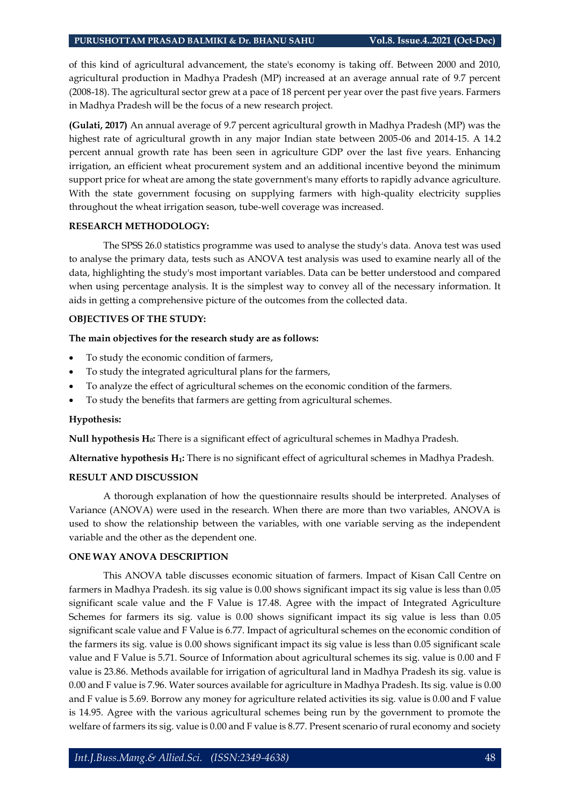of this kind of agricultural advancement, the state's economy is taking off. Between 2000 and 2010, agricultural production in Madhya Pradesh (MP) increased at an average annual rate of 9.7 percent (2008-18). The agricultural sector grew at a pace of 18 percent per year over the past five years. Farmers in Madhya Pradesh will be the focus of a new research project.

**(Gulati, 2017)** An annual average of 9.7 percent agricultural growth in Madhya Pradesh (MP) was the highest rate of agricultural growth in any major Indian state between 2005-06 and 2014-15. A 14.2 percent annual growth rate has been seen in agriculture GDP over the last five years. Enhancing irrigation, an efficient wheat procurement system and an additional incentive beyond the minimum support price for wheat are among the state government's many efforts to rapidly advance agriculture. With the state government focusing on supplying farmers with high-quality electricity supplies throughout the wheat irrigation season, tube-well coverage was increased.

#### **RESEARCH METHODOLOGY:**

The SPSS 26.0 statistics programme was used to analyse the study's data. Anova test was used to analyse the primary data, tests such as ANOVA test analysis was used to examine nearly all of the data, highlighting the study's most important variables. Data can be better understood and compared when using percentage analysis. It is the simplest way to convey all of the necessary information. It aids in getting a comprehensive picture of the outcomes from the collected data.

#### **OBJECTIVES OF THE STUDY:**

#### **The main objectives for the research study are as follows:**

- To study the economic condition of farmers,
- To study the integrated agricultural plans for the farmers,
- To analyze the effect of agricultural schemes on the economic condition of the farmers.
- To study the benefits that farmers are getting from agricultural schemes.

#### **Hypothesis:**

**Null hypothesis H0:** There is a significant effect of agricultural schemes in Madhya Pradesh.

**Alternative hypothesis H1:** There is no significant effect of agricultural schemes in Madhya Pradesh.

#### **RESULT AND DISCUSSION**

A thorough explanation of how the questionnaire results should be interpreted. Analyses of Variance (ANOVA) were used in the research. When there are more than two variables, ANOVA is used to show the relationship between the variables, with one variable serving as the independent variable and the other as the dependent one.

#### **ONE WAY ANOVA DESCRIPTION**

This ANOVA table discusses economic situation of farmers. Impact of Kisan Call Centre on farmers in Madhya Pradesh. its sig value is 0.00 shows significant impact its sig value is less than 0.05 significant scale value and the F Value is 17.48. Agree with the impact of Integrated Agriculture Schemes for farmers its sig. value is 0.00 shows significant impact its sig value is less than 0.05 significant scale value and F Value is 6.77. Impact of agricultural schemes on the economic condition of the farmers its sig. value is 0.00 shows significant impact its sig value is less than 0.05 significant scale value and F Value is 5.71. Source of Information about agricultural schemes its sig. value is 0.00 and F value is 23.86. Methods available for irrigation of agricultural land in Madhya Pradesh its sig. value is 0.00 and F value is 7.96. Water sources available for agriculture in Madhya Pradesh. Its sig. value is 0.00 and F value is 5.69. Borrow any money for agriculture related activities its sig. value is 0.00 and F value is 14.95. Agree with the various agricultural schemes being run by the government to promote the welfare of farmers its sig. value is 0.00 and F value is 8.77. Present scenario of rural economy and society